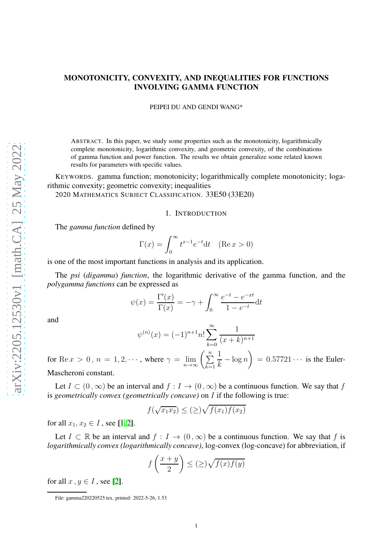# MONOTONICITY, CONVEXITY, AND INEQUALITIES FOR FUNCTIONS INVOLVING GAMMA FUNCTION

PEIPEI DU AND GENDI WANG\*

ABSTRACT. In this paper, we study some properties such as the monotonicity, logarithmically complete monotonicity, logarithmic convexity, and geometric convexity, of the combinations of gamma function and power function. The results we obtain generalize some related known results for parameters with specific values.

KEYWORDS. gamma function; monotonicity; logarithmically complete monotonicity; logarithmic convexity; geometric convexity; inequalities

2020 MATHEMATICS SUBJECT CLASSIFICATION. 33E50 (33E20)

#### 1. INTRODUCTION

The *gamma function* defined by

$$
\Gamma(x) = \int_0^\infty t^{x-1} e^{-t} dt \quad (\text{Re } x > 0)
$$

is one of the most important functions in analysis and its application.

The *psi* (*digamma*) *function*, the logarithmic derivative of the gamma function, and the *polygamma functions* can be expressed as

$$
\psi(x) = \frac{\Gamma'(x)}{\Gamma(x)} = -\gamma + \int_0^\infty \frac{e^{-t} - e^{-xt}}{1 - e^{-t}} dt
$$

and

$$
\psi^{(n)}(x) = (-1)^{n+1} n! \sum_{k=0}^{\infty} \frac{1}{(x+k)^{n+1}}
$$

for Re  $x > 0$ ,  $n = 1, 2, \cdots$ , where  $\gamma = \lim_{n \to \infty} \left( \sum_{k=1}^{n} \right)$ 1  $\frac{1}{k} - \log n$  $\setminus$  $= 0.57721 \cdots$  is the Euler-Mascheroni constant.

Let  $I \subset (0,\infty)$  be an interval and  $f : I \to (0,\infty)$  be a continuous function. We say that f is *geometrically convex (geometrically concave)* on I if the following is true:

$$
f(\sqrt{x_1 x_2}) \leq (\geq) \sqrt{f(x_1) f(x_2)}
$$

for all  $x_1, x_2 \in I$ , see [\[1,](#page-16-0)2].

Let  $I \subset \mathbb{R}$  be an interval and  $f : I \to (0, \infty)$  be a continuous function. We say that f is *logarithmically convex (logarithmically concave)*, log-convex (log-concave) for abbreviation, if

$$
f\left(\frac{x+y}{2}\right) \le (\ge)\sqrt{f(x)f(y)}
$$

for all  $x, y \in I$ , see [\[2\]](#page-16-1).

File: gamma220220525.tex, printed: 2022-5-26, 1.53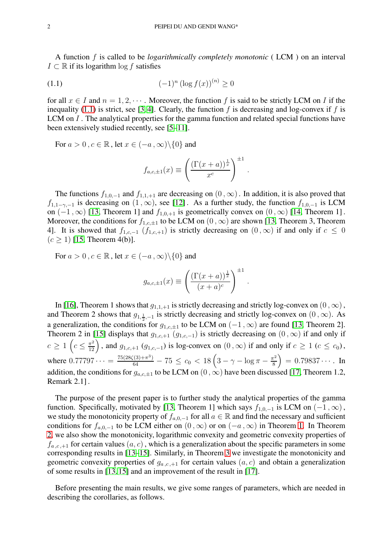A function f is called to be *logarithmically completely monotonic* ( LCM ) on an interval  $I \subset \mathbb{R}$  if its logarithm log f satisfies

<span id="page-1-0"></span>(1.1) 
$$
(-1)^n (\log f(x))^{(n)} \ge 0
$$

for all  $x \in I$  and  $n = 1, 2, \dots$ . Moreover, the function f is said to be strictly LCM on I if the inequality [\(1.1\)](#page-1-0) is strict, see [\[3,](#page-16-2) [4\]](#page-16-3). Clearly, the function f is decreasing and log-convex if f is LCM on I. The analytical properties for the gamma function and related special functions have been extensively studied recently, see [\[5–](#page-16-4)[11\]](#page-16-5).

For  $a > 0$ ,  $c \in \mathbb{R}$ , let  $x \in (-a, \infty) \setminus \{0\}$  and

$$
f_{a,c,\pm 1}(x) \equiv \left(\frac{(\Gamma(x+a))^{\frac{1}{x}}}{x^c}\right)^{\pm 1}.
$$

The functions  $f_{1,0,-1}$  and  $f_{1,1,+1}$  are decreasing on  $(0,\infty)$ . In addition, it is also proved that  $f_{1,1-\gamma,-1}$  is decreasing on  $(1,\infty)$ , see [\[12\]](#page-16-6). As a further study, the function  $f_{1,0,-1}$  is LCM on  $(-1, \infty)$  [\[13,](#page-16-7) Theorem 1] and  $f_{1,0,+1}$  is geometrically convex on  $(0, \infty)$  [\[14,](#page-16-8) Theorem 1]. Moreover, the conditions for  $f_{1,c,\pm 1}$  to be LCM on  $(0, \infty)$  are shown [\[13,](#page-16-7) Theorem 3, Theorem 4]. It is showed that  $f_{1,c,-1}$   $(f_{1,c,+1})$  is strictly decreasing on  $(0, \infty)$  if and only if  $c \le 0$  $(c \ge 1)$  [\[15,](#page-16-9) Theorem 4(b)].

For  $a > 0$ ,  $c \in \mathbb{R}$ , let  $x \in (-a, \infty) \setminus \{0\}$  and

$$
g_{a,c,\pm 1}(x) \equiv \left(\frac{(\Gamma(x+a))^{\frac{1}{x}}}{(x+a)^c}\right)^{\pm 1}.
$$

In [\[16\]](#page-16-10), Theorem 1 shows that  $g_{1,1,+1}$  is strictly decreasing and strictly log-convex on  $(0, \infty)$ , and Theorem 2 shows that  $g_{1,\frac{1}{2},-1}$  is strictly decreasing and strictly log-convex on  $(0, \infty)$ . As a generalization, the conditions for  $g_{1,c,\pm 1}$  to be LCM on  $(-1, \infty)$  are found [\[13,](#page-16-7) Theorem 2]. Theorem 2 in [\[15\]](#page-16-9) displays that  $g_{1,c,+1}$   $(g_{1,c,-1})$  is strictly decreasing on  $(0, \infty)$  if and only if  $c \ge 1$   $\left(c \le \frac{\pi^2}{12}\right)$ , and  $g_{1,c,+1}$   $(g_{1,c,-1})$  is log-convex on  $(0,\infty)$  if and only if  $c \ge 1$   $(c \le c_0)$ , where  $0.77797\dots = \frac{75(28\zeta(3)+\pi^3)}{64} - 75 \leq c_0 < 18\left(3-\gamma-\log\pi-\frac{\pi^2}{8}\right)$ 8  $= 0.79837...$  In addition, the conditions for  $g_{a,c,\pm 1}$  to be LCM on  $(0, \infty)$  have been discussed [\[17,](#page-16-11) Theorem 1.2, Remark 2.1] .

The purpose of the present paper is to further study the analytical properties of the gamma function. Specifically, motivated by [\[13,](#page-16-7) Theorem 1] which says  $f_{1,0,-1}$  is LCM on  $(-1,\infty)$ , we study the monotonicity property of  $f_{a,0,-1}$  for all  $a \in \mathbb{R}$  and find the necessary and sufficient conditions for  $f_{a,0,-1}$  to be LCM either on  $(0, \infty)$  or on  $(-a, \infty)$  in Theorem [1.](#page-2-0) In Theorem [2,](#page-3-0) we also show the monotonicity, logarithmic convexity and geometric convexity properties of  $f_{a,c,+1}$  for certain values  $(a, c)$ , which is a generalization about the specific parameters in some corresponding results in [\[13](#page-16-7)[–15\]](#page-16-9). Similarly, in Theorem [3](#page-4-0) we investigate the monotonicity and geometric convexity properties of  $g_{a,c,+1}$  for certain values  $(a, c)$  and obtain a generalization of some results in [\[13,](#page-16-7) [15\]](#page-16-9) and an improvement of the result in [\[17\]](#page-16-11).

Before presenting the main results, we give some ranges of parameters, which are needed in describing the corollaries, as follows.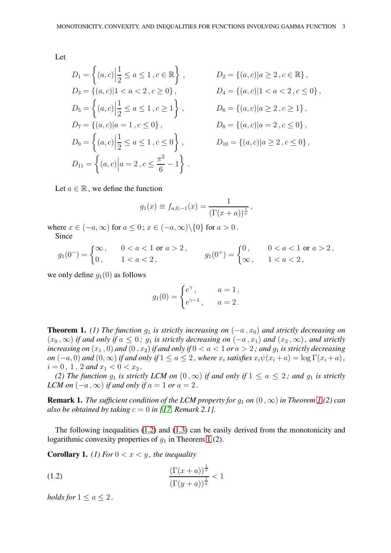Let

$$
D_1 = \left\{ (a, c) \Big| \frac{1}{2} \le a \le 1, c \in \mathbb{R} \right\},
$$
  
\n
$$
D_2 = \left\{ (a, c) | a \ge 2, c \in \mathbb{R} \right\},
$$
  
\n
$$
D_3 = \left\{ (a, c) | 1 < a < 2, c \ge 0 \right\},
$$
  
\n
$$
D_4 = \left\{ (a, c) | 1 < a < 2, c \le 0 \right\},
$$
  
\n
$$
D_5 = \left\{ (a, c) \Big| \frac{1}{2} \le a \le 1, c \ge 1 \right\},
$$
  
\n
$$
D_6 = \left\{ (a, c) | a \ge 2, c \ge 1 \right\},
$$
  
\n
$$
D_7 = \left\{ (a, c) \Big| \frac{1}{2} \le a \le 1, c \le 0 \right\},
$$
  
\n
$$
D_8 = \left\{ (a, c) | a = 2, c \le 0 \right\},
$$
  
\n
$$
D_{10} = \left\{ (a, c) | a \ge 2, c \le 0 \right\},
$$
  
\n
$$
D_{11} = \left\{ (a, c) \Big| a = 2, c \le \frac{\pi^2}{6} - 1 \right\}.
$$

Let  $a \in \mathbb{R}$ , we define the function

$$
g_1(x) \equiv f_{a,0,-1}(x) = \frac{1}{(\Gamma(x+a))^{\frac{1}{x}}},
$$

where  $x \in (-a, \infty)$  for  $a \leq 0$ ;  $x \in (-a, \infty) \setminus \{0\}$  for  $a > 0$ . Since

$$
g_1(0^-) = \begin{cases} \infty \,, & 0 < a < 1 \text{ or } a > 2 \,, \\ 0 \,, & 1 < a < 2 \,, \end{cases} \qquad g_1(0^+) = \begin{cases} 0 \,, & 0 < a < 1 \text{ or } a > 2 \,, \\ \infty \,, & 1 < a < 2 \,, \end{cases}
$$

we only define  $g_1(0)$  as follows

$$
g_1(0) = \begin{cases} e^{\gamma}, & a = 1, \\ e^{\gamma - 1}, & a = 2 \end{cases}
$$

<span id="page-2-0"></span>**Theorem 1.** *(1) The function*  $g_1$  *is strictly increasing on*  $(-a, x_0)$  *and strictly decreasing on*  $(x_0, \infty)$  *if and only if*  $a \leq 0$ ;  $g_1$  *is strictly decreasing on*  $(-a, x_1)$  *and*  $(x_2, \infty)$ *, and strictly increasing on*  $(x_1, 0)$  *and*  $(0, x_2)$  *if and only if*  $0 < a < 1$  *or*  $a > 2$ ; *and*  $q_1$  *is strictly decreasing on*  $(-a, 0)$  *and*  $(0, \infty)$  *if and only if*  $1 \le a \le 2$ *, where*  $x_i$  *satisfies*  $x_i \psi(x_i + a) = \log \Gamma(x_i + a)$ *,*  $i = 0, 1, 2$  and  $x_1 < 0 < x_2$ .

*(2) The function*  $g_1$  *is strictly LCM on*  $(0, \infty)$  *if and only if*  $1 \le a \le 2$ *; and*  $g_1$  *is strictly LCM on*  $(-a, \infty)$  *if and only if*  $a = 1$  *or*  $a = 2$ .

**Remark [1](#page-2-0).** *The sufficient condition of the LCM property for*  $q_1$  *on*  $(0, \infty)$  *in Theorem 1* (2) *can also be obtained by taking*  $c = 0$  *in [\[17,](#page-16-11) Remark 2.1].* 

The following inequalities [\(1.2\)](#page-2-1) and [\(1.3\)](#page-3-1) can be easily derived from the monotonicity and logarithmic convexity properties of  $g_1$  in Theorem [1](#page-2-0) (2).

1

**Corollary 1.** *(1)* For  $0 < x < y$ , the inequality

<span id="page-2-1"></span>(1.2) 
$$
\frac{(\Gamma(x+a))^{\frac{1}{x}}}{(\Gamma(y+a))^{\frac{1}{y}}} < 1
$$

*holds for*  $1 \le a \le 2$ *.*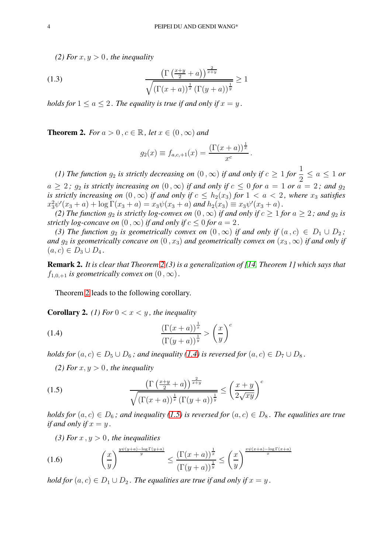*(2) For*  $x, y > 0$ *, the inequality* 

<span id="page-3-1"></span>(1.3) 
$$
\frac{\left(\Gamma\left(\frac{x+y}{2}+a\right)\right)^{\frac{2}{x+y}}}{\sqrt{\left(\Gamma(x+a)\right)^{\frac{1}{x}}\left(\Gamma(y+a)\right)^{\frac{1}{y}}}} \ge 1
$$

*holds for*  $1 \le a \le 2$ . The equality is true if and only if  $x = y$ .

<span id="page-3-0"></span>**Theorem 2.** *For*  $a > 0$ ,  $c \in \mathbb{R}$ , *let*  $x \in (0, \infty)$  *and* 

$$
g_2(x) \equiv f_{a,c,+1}(x) = \frac{(\Gamma(x+a))^{\frac{1}{x}}}{x^c}
$$

.

*(1) The function*  $g_2$  *is strictly decreasing on*  $(0, \infty)$  *if and only if*  $c \ge 1$  *for*  $\frac{1}{2} \le a \le 1$  *or*  $a \geq 2$ ;  $g_2$  *is strictly increasing on*  $(0, \infty)$  *if and only if*  $c \leq 0$  *for*  $a = 1$  *or*  $a = 2$ ; *and*  $g_2$ *is strictly increasing on*  $(0, \infty)$  *if and only if*  $c \leq h_2(x_3)$  *for*  $1 < a < 2$ *, where*  $x_3$  *satisfies*  $x_3^2\psi'(x_3 + a) + \log \Gamma(x_3 + a) = x_3\psi(x_3 + a)$  and  $h_2(x_3) \equiv x_3\psi'(x_3 + a)$ .

*(2) The function*  $g_2$  *is strictly log-convex on*  $(0, \infty)$  *if and only if*  $c \ge 1$  *for*  $a \ge 2$ *; and*  $g_2$  *is strictly log-concave on*  $(0, \infty)$  *if and only if*  $c \leq 0$  *for*  $a = 2$ *.* 

*(3) The function*  $g_2$  *is geometrically convex on*  $(0, \infty)$  *if and only if*  $(a, c) \in D_1 \cup D_2$ ; *and*  $q_2$  *is geometrically concave on*  $(0, x_3)$  *and geometrically convex on*  $(x_3, \infty)$  *if and only if*  $(a, c) \in D_3 \cup D_4$ .

Remark 2. *It is clear that Theorem [2](#page-3-0) (3) is a generalization of [\[14,](#page-16-8) Theorem 1] which says that*  $f_{1,0,+1}$  *is geometrically convex on*  $(0,\infty)$ .

Theorem [2](#page-3-0) leads to the following corollary.

**Corollary 2.** *(1)* For  $0 < x < y$ , the inequality

<span id="page-3-2"></span>(1.4) 
$$
\frac{\left(\Gamma(x+a)\right)^{\frac{1}{x}}}{\left(\Gamma(y+a)\right)^{\frac{1}{y}}} > \left(\frac{x}{y}\right)^{c}
$$

*holds for*  $(a, c) \in D_5 \cup D_6$ ; and inequality [\(1.4\)](#page-3-2) is reversed for  $(a, c) \in D_7 \cup D_8$ .

*(2) For*  $x, y > 0$ *, the inequality* 

<span id="page-3-3"></span>(1.5) 
$$
\frac{\left(\Gamma\left(\frac{x+y}{2}+a\right)\right)^{\frac{2}{x+y}}}{\sqrt{\left(\Gamma(x+a)\right)^{\frac{1}{x}}\left(\Gamma(y+a)\right)^{\frac{1}{y}}}} \leq \left(\frac{x+y}{2\sqrt{xy}}\right)^{c}
$$

*holds for*  $(a, c) \in D_6$ ; and inequality [\(1.5\)](#page-3-3) is reversed for  $(a, c) \in D_8$ . The equalities are true *if and only if*  $x = y$ .

*(3) For*  $x, y > 0$ *, the inequalities* 

<span id="page-3-4"></span>
$$
(1.6)\qquad \qquad \left(\frac{x}{y}\right)^{\frac{y\psi(y+a)-\log\Gamma(y+a)}{y}} \leq \frac{\left(\Gamma(x+a)\right)^{\frac{1}{x}}}{\left(\Gamma(y+a)\right)^{\frac{1}{y}}} \leq \left(\frac{x}{y}\right)^{\frac{x\psi(x+a)-\log\Gamma(x+a)}{x}}
$$

*hold for*  $(a, c) \in D_1 \cup D_2$ . The equalities are true if and only if  $x = y$ .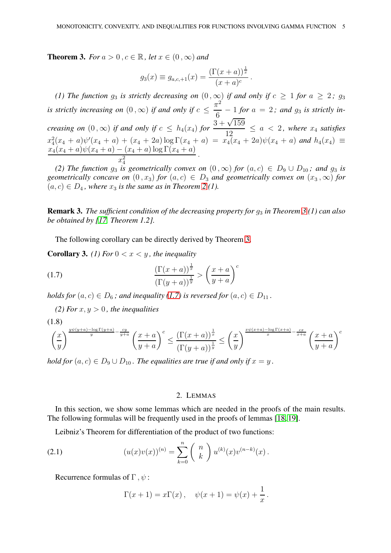<span id="page-4-0"></span>**Theorem 3.** *For*  $a > 0$ ,  $c \in \mathbb{R}$ , *let*  $x \in (0, \infty)$  *and* 

$$
g_3(x) \equiv g_{a,c,+1}(x) = \frac{(\Gamma(x+a))^{\frac{1}{x}}}{(x+a)^c}.
$$

*(1) The function*  $g_3$  *is strictly decreasing on*  $(0, \infty)$  *if and only if*  $c \ge 1$  *for*  $a \ge 2$ ;  $g_3$ *is strictly increasing on*  $(0 \, , \infty)$  *if and only if*  $c \leq$  $\pi^2$  $\frac{6}{6}$  – 1 *for*  $a = 2$ ; and  $g_3$  *is strictly increasing on*  $(0, \infty)$  *if and only if*  $c \leq h_4(x_4)$  *for*  $\frac{3 + \sqrt{159}}{12}$  $\frac{12}{12} \le a < 2$ , where  $x_4$  satisfies  $x_4^2(x_4 + a)\psi'(x_4 + a) + (x_4 + 2a) \log \Gamma(x_4 + a) = x_4(x_4 + 2a)\psi(x_4 + a)$  and  $h_4(x_4) \equiv$  $x_4(x_4 + a)\psi(x_4 + a) - (x_4 + a)\log\Gamma(x_4 + a)$  $\frac{(x_4 + x) \log x (x_4 + x)}{x_4^2}$ .

(2) The function  $g_3$  is geometrically convex on  $(0, \infty)$  for  $(a, c) \in D_9 \cup D_{10}$ ; and  $g_3$  is *geometrically concave on*  $(0, x_3)$  *for*  $(a, c) \in D_3$  *and geometrically convex on*  $(x_3, \infty)$  *for*  $(a, c) \in D_4$ , where  $x_3$  *is the same as in Theorem [2](#page-3-0) (1).* 

**Remark [3](#page-4-0).** *The sufficient condition of the decreasing property for*  $g_3$  *in Theorem* 3*(1) can also be obtained by [\[17,](#page-16-11) Theorem 1.2].*

The following corollary can be directly derived by Theorem [3.](#page-4-0)

**Corollary 3.** *(1)* For  $0 < x < y$ , the inequality

<span id="page-4-1"></span>(1.7) 
$$
\frac{\left(\Gamma(x+a)\right)^{\frac{1}{x}}}{\left(\Gamma(y+a)\right)^{\frac{1}{y}}} > \left(\frac{x+a}{y+a}\right)^{c}
$$

*holds for*  $(a, c) \in D_6$ ; and inequality [\(1.7\)](#page-4-1) is reversed for  $(a, c) \in D_{11}$ .

*(2) For*  $x, y > 0$ *, the inequalities* 

<span id="page-4-3"></span>
$$
(1.8)
$$

$$
\left(\frac{x}{y}\right)^{\frac{y\psi(y+a)-\log\Gamma(y+a)}{y}-\frac{cy}{y+a}}\left(\frac{x+a}{y+a}\right)^c\leq \frac{\left(\Gamma(x+a)\right)^{\frac{1}{x}}}{\left(\Gamma(y+a)\right)^{\frac{1}{y}}}\leq \left(\frac{x}{y}\right)^{\frac{x\psi(x+a)-\log\Gamma(x+a)}{x}-\frac{cx}{x+a}}\left(\frac{x+a}{y+a}\right)^c
$$

*hold for*  $(a, c) \in D_9 \cup D_{10}$ . The equalities are true if and only if  $x = y$ .

## 2. LEMMAS

In this section, we show some lemmas which are needed in the proofs of the main results. The following formulas will be frequently used in the proofs of lemmas [\[18,](#page-16-12) [19\]](#page-16-13).

Leibniz's Theorem for differentiation of the product of two functions:

(2.1) 
$$
(u(x)v(x))^{(n)} = \sum_{k=0}^{n} {n \choose k} u^{(k)}(x)v^{(n-k)}(x).
$$

Recurrence formulas of  $\Gamma$ ,  $\psi$ :

<span id="page-4-2"></span>
$$
\Gamma(x + 1) = x\Gamma(x), \quad \psi(x + 1) = \psi(x) + \frac{1}{x}.
$$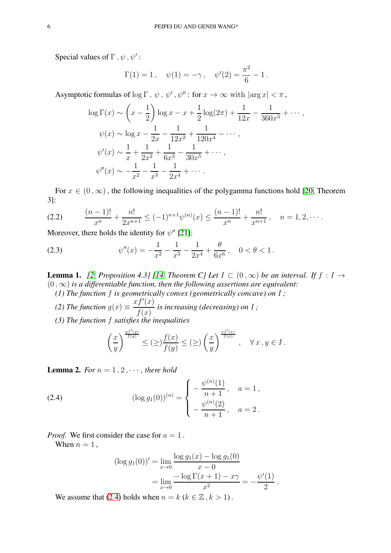Special values of  $\Gamma$ ,  $\psi$ ,  $\psi'$ :

$$
\Gamma(1) = 1
$$
,  $\psi(1) = -\gamma$ ,  $\psi'(2) = \frac{\pi^2}{6} - 1$ .

Asymptotic formulas of  $\log \Gamma$ ,  $\psi$ ,  $\psi'$ ,  $\psi''$ : for  $x \to \infty$  with  $|\arg x| < \pi$ ,

$$
\log \Gamma(x) \sim \left(x - \frac{1}{2}\right) \log x - x + \frac{1}{2} \log(2\pi) + \frac{1}{12x} - \frac{1}{360x^3} + \cdots,
$$
  
\n
$$
\psi(x) \sim \log x - \frac{1}{2x} - \frac{1}{12x^2} + \frac{1}{120x^4} - \cdots,
$$
  
\n
$$
\psi'(x) \sim \frac{1}{x} + \frac{1}{2x^2} + \frac{1}{6x^3} - \frac{1}{30x^5} + \cdots,
$$
  
\n
$$
\psi''(x) \sim -\frac{1}{x^2} - \frac{1}{x^3} - \frac{1}{2x^4} + \cdots.
$$

For  $x \in (0, \infty)$ , the following inequalities of the polygamma functions hold [\[20,](#page-16-14) Theorem 3]:

<span id="page-5-1"></span>
$$
(2.2) \qquad \frac{(n-1)!}{x^n} + \frac{n!}{2x^{n+1}} \leq (-1)^{n+1} \psi^{(n)}(x) \leq \frac{(n-1)!}{x^n} + \frac{n!}{x^{n+1}}, \quad n = 1, 2, \cdots.
$$

Moreover, there holds the identity for  $\psi''$  [\[21\]](#page-16-15):

<span id="page-5-2"></span>(2.3) 
$$
\psi''(x) = -\frac{1}{x^2} - \frac{1}{x^3} - \frac{1}{2x^4} + \frac{\theta}{6x^6}, \quad 0 < \theta < 1.
$$

<span id="page-5-4"></span>**Lemma 1.** [\[2,](#page-16-1) Proposition 4.3] [\[14,](#page-16-8) Theorem C] Let  $I \subset (0,\infty)$  be an interval. If  $f : I \to$  $(0, \infty)$  *is a differentiable function, then the following assertions are equivalent:* 

*(1) The function* f *is geometrically convex (geometrically concave) on* I *;*

- *(2) The function*  $g(x) \equiv$  $xf'(x)$  $f(x)$ *is increasing (decreasing) on* I *;*
- *(3) The function* f *satisfies the inequalities*

$$
\left(\frac{x}{y}\right)^{\frac{yf'(y)}{f(y)}}\leq (\geq)\frac{f(x)}{f(y)}\leq (\geq)\left(\frac{x}{y}\right)^{\frac{xf'(x)}{f(x)}},\quad \forall\,x\,,y\in I\,.
$$

<span id="page-5-3"></span>**Lemma 2.** For  $n = 1, 2, \cdots$ , there hold

<span id="page-5-0"></span>(2.4) 
$$
(\log g_1(0))^{(n)} = \begin{cases} -\frac{\psi^{(n)}(1)}{n+1}, & a = 1, \\ -\frac{\psi^{(n)}(2)}{n+1}, & a = 2. \end{cases}
$$

*Proof.* We first consider the case for  $a = 1$ .

When  $n = 1$ ,

$$
(\log g_1(0))' = \lim_{x \to 0} \frac{\log g_1(x) - \log g_1(0)}{x - 0}
$$
  
= 
$$
\lim_{x \to 0} \frac{-\log \Gamma(x + 1) - x\gamma}{x^2} = -\frac{\psi'(1)}{2}.
$$

We assume that [\(2.4\)](#page-5-0) holds when  $n = k (k \in \mathbb{Z}, k > 1)$ .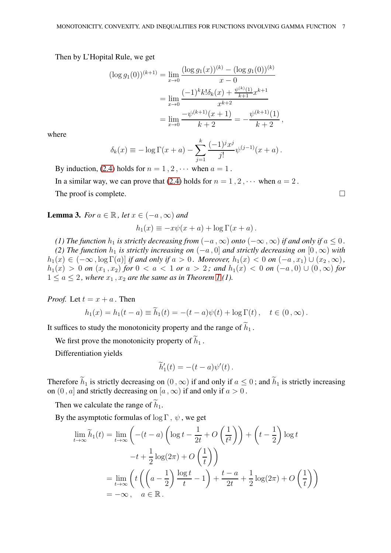Then by L'Hopital Rule, we get

$$
(\log g_1(0))^{(k+1)} = \lim_{x \to 0} \frac{(\log g_1(x))^{(k)} - (\log g_1(0))^{(k)}}{x - 0}
$$

$$
= \lim_{x \to 0} \frac{(-1)^k k! \delta_k(x) + \frac{\psi^{(k)}(1)}{k+1} x^{k+1}}{x^{k+2}}
$$

$$
= \lim_{x \to 0} \frac{-\psi^{(k+1)}(x+1)}{k+2} = -\frac{\psi^{(k+1)}(1)}{k+2},
$$

where

$$
\delta_k(x) \equiv -\log \Gamma(x+a) - \sum_{j=1}^k \frac{(-1)^j x^j}{j!} \psi^{(j-1)}(x+a) .
$$

By induction, [\(2.4\)](#page-5-0) holds for  $n = 1, 2, \cdots$  when  $a = 1$ . In a similar way, we can prove that [\(2.4\)](#page-5-0) holds for  $n = 1, 2, \cdots$  when  $a = 2$ . The proof is complete.  $\Box$ 

<span id="page-6-0"></span>**Lemma 3.** *For*  $a \in \mathbb{R}$ *, let*  $x \in (-a, \infty)$  *and* 

$$
h_1(x) \equiv -x\psi(x+a) + \log \Gamma(x+a).
$$

*(1) The function*  $h_1$  *is strictly decreasing from*  $(-a, \infty)$  *onto*  $(-\infty, \infty)$  *if and only if*  $a \le 0$ . *(2) The function*  $h_1$  *is strictly increasing on*  $(-a, 0]$  *and strictly decreasing on*  $[0, \infty)$  *with*  $h_1(x) \in (-\infty, \log \Gamma(a)]$  *if and only if*  $a > 0$ *. Moreover,*  $h_1(x) < 0$  *on*  $(-a, x_1) \cup (x_2, \infty)$ *,*  $h_1(x) > 0$  *on*  $(x_1, x_2)$  *for* 0 < *a* < 1 *or a* > 2; and  $h_1(x)$  < 0 *on*  $(-a, 0) ∪ (0, ∞)$  *for*  $1 \le a \le 2$ , where  $x_1, x_2$  are the same as in Theorem [1](#page-2-0) (1).

*Proof.* Let  $t = x + a$ . Then

$$
h_1(x) = h_1(t-a) \equiv \widetilde{h}_1(t) = -(t-a)\psi(t) + \log \Gamma(t), \quad t \in (0,\infty).
$$

It suffices to study the monotonicity property and the range of  $\widetilde{h}_1$ .

We first prove the monotonicity property of  $\widetilde{h}_1$ .

Differentiation yields

$$
\widetilde{h}'_1(t) = -(t-a)\psi'(t).
$$

Therefore  $\widetilde{h}_1$  is strictly decreasing on  $(0, \infty)$  if and only if  $a \leq 0$ ; and  $\widetilde{h}_1$  is strictly increasing on  $(0, a]$  and strictly decreasing on  $[a, \infty)$  if and only if  $a > 0$ .

Then we calculate the range of  $\tilde{h}_1$ .

By the asymptotic formulas of log  $\Gamma$ ,  $\psi$ , we get

$$
\lim_{t \to \infty} \widetilde{h}_1(t) = \lim_{t \to \infty} \left( -(t - a) \left( \log t - \frac{1}{2t} + O\left(\frac{1}{t^2}\right) \right) + \left( t - \frac{1}{2} \right) \log t - t + \frac{1}{2} \log(2\pi) + O\left(\frac{1}{t}\right) \right)
$$

$$
= \lim_{t \to \infty} \left( t \left( \left( a - \frac{1}{2} \right) \frac{\log t}{t} - 1 \right) + \frac{t - a}{2t} + \frac{1}{2} \log(2\pi) + O\left(\frac{1}{t}\right) \right)
$$

$$
= -\infty, \quad a \in \mathbb{R}.
$$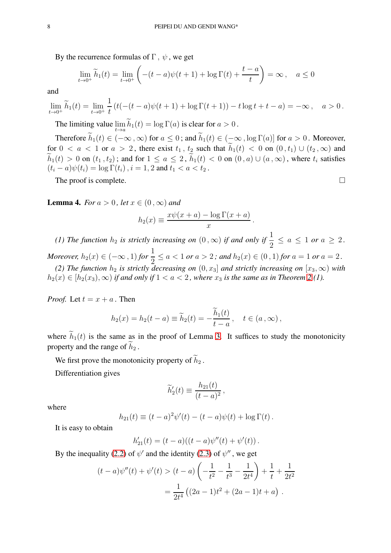By the recurrence formulas of  $\Gamma$ ,  $\psi$ , we get

$$
\lim_{t \to 0^+} \widetilde{h}_1(t) = \lim_{t \to 0^+} \left( -(t-a)\psi(t+1) + \log \Gamma(t) + \frac{t-a}{t} \right) = \infty \,, \quad a \le 0
$$

and

$$
\lim_{t \to 0^+} \widetilde{h}_1(t) = \lim_{t \to 0^+} \frac{1}{t} \left( t(-(t-a)\psi(t+1) + \log \Gamma(t+1)) - t \log t + t - a \right) = -\infty, \quad a > 0.
$$

The limiting value  $\lim_{t \to a} h_1(t) = \log \Gamma(a)$  is clear for  $a > 0$ .

Therefore  $\widetilde{h}_1(t) \in (-\infty, \infty)$  for  $a \leq 0$ ; and  $\widetilde{h}_1(t) \in (-\infty, \log \Gamma(a)]$  for  $a > 0$ . Moreover, for  $0 < a < 1$  or  $a > 2$ , there exist  $t_1, t_2$  such that  $\widetilde{h}_1(t) < 0$  on  $(0, t_1) \cup (t_2, \infty)$  and  $\widetilde{h}_1(t) > 0$  on  $(t_1, t_2)$ ; and for  $1 \le a \le 2$ ,  $\widetilde{h}_1(t) < 0$  on  $(0, a) \cup (a, \infty)$ , where  $t_i$  satisfies  $(t_i - a)\psi(t_i) = \log \Gamma(t_i), i = 1, 2$  and  $t_1 < a < t_2$ .

The proof is complete.  $\Box$ 

<span id="page-7-0"></span>**Lemma 4.** *For*  $a > 0$ *, let*  $x \in (0, \infty)$  *and* 

$$
h_2(x) \equiv \frac{x\psi(x+a) - \log \Gamma(x+a)}{x}
$$

.

*(1) The function*  $h_2$  *is strictly increasing on*  $(0, \infty)$  *if and only if*  $\frac{1}{2} \le a \le 1$  *or*  $a \ge 2$ *. Moreover,*  $h_2(x) \in (-\infty, 1)$  *for*  $\frac{1}{2} \le a < 1$  *or*  $a > 2$ ; and  $h_2(x) \in (0, 1)$  *for*  $a = 1$  *or*  $a = 2$ .

*(2) The function*  $h_2$  *is strictly decreasing on*  $(0, x_3]$  *and strictly increasing on*  $[x_3, \infty)$  *with*  $h_2(x) \in [h_2(x_3), \infty)$  *if and only if*  $1 < a < 2$  $1 < a < 2$ *, where*  $x_3$  *is the same as in Theorem* 2(1).

*Proof.* Let  $t = x + a$ . Then

$$
h_2(x) = h_2(t-a) \equiv \widetilde{h}_2(t) = -\frac{\widetilde{h}_1(t)}{t-a}, \quad t \in (a,\infty),
$$

where  $\tilde{h}_1(t)$  is the same as in the proof of Lemma [3.](#page-6-0) It suffices to study the monotonicity property and the range of  $h_2$ .

We first prove the monotonicity property of  $\tilde{h}_2$ .

Differentiation gives

$$
\widetilde{h}'_2(t) \equiv \frac{h_{21}(t)}{(t-a)^2},
$$

where

$$
h_{21}(t) \equiv (t-a)^2 \psi'(t) - (t-a)\psi(t) + \log \Gamma(t).
$$

It is easy to obtain

$$
h'_{21}(t) = (t-a)((t-a)\psi''(t) + \psi'(t)).
$$

By the inequality [\(2.2\)](#page-5-1) of  $\psi'$  and the identity [\(2.3\)](#page-5-2) of  $\psi''$ , we get

$$
(t-a)\psi''(t) + \psi'(t) > (t-a)\left(-\frac{1}{t^2} - \frac{1}{t^3} - \frac{1}{2t^4}\right) + \frac{1}{t} + \frac{1}{2t^2}
$$

$$
= \frac{1}{2t^4} \left((2a-1)t^2 + (2a-1)t + a\right).
$$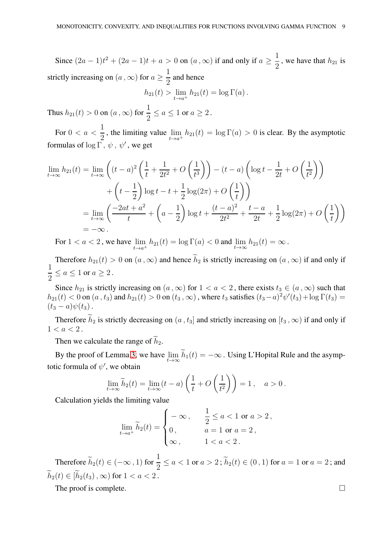Since  $(2a - 1)t^2 + (2a - 1)t + a > 0$  on  $(a, \infty)$  if and only if  $a \ge \frac{1}{2}$  $\frac{1}{2}$ , we have that  $h_{21}$  is strictly increasing on  $(a, \infty)$  for  $a \geq \frac{1}{2}$ 2 and hence

$$
h_{21}(t) > \lim_{t \to a^+} h_{21}(t) = \log \Gamma(a)
$$
.

Thus  $h_{21}(t) > 0$  on  $(a, \infty)$  for  $\frac{1}{2} \le a \le 1$  or  $a \ge 2$ .

For  $0 < a < \frac{1}{2}$ 2 , the limiting value  $\lim_{t \to a^+} h_{21}(t) = \log \Gamma(a) > 0$  is clear. By the asymptotic formulas of  $\log \tilde{\Gamma}$ ,  $\psi$ ,  $\psi'$ , we get

$$
\lim_{t \to \infty} h_{21}(t) = \lim_{t \to \infty} \left( (t - a)^2 \left( \frac{1}{t} + \frac{1}{2t^2} + O\left(\frac{1}{t^3}\right) \right) - (t - a) \left( \log t - \frac{1}{2t} + O\left(\frac{1}{t^2}\right) \right) \right.
$$
  
+  $\left( t - \frac{1}{2} \right) \log t - t + \frac{1}{2} \log(2\pi) + O\left(\frac{1}{t}\right) \right)$   
=  $\lim_{t \to \infty} \left( \frac{-2at + a^2}{t} + \left( a - \frac{1}{2} \right) \log t + \frac{(t - a)^2}{2t^2} + \frac{t - a}{2t} + \frac{1}{2} \log(2\pi) + O\left(\frac{1}{t}\right) \right)$   
=  $-\infty$ .

For  $1 < a < 2$ , we have  $\lim_{t \to a^+} h_{21}(t) = \log \Gamma(a) < 0$  and  $\lim_{t \to \infty} h_{21}(t) = \infty$ .

Therefore  $h_{21}(t) > 0$  on  $(a, \infty)$  and hence  $\tilde{h}_2$  is strictly increasing on  $(a, \infty)$  if and only if 1  $\frac{1}{2} \leq a \leq 1$  or  $a \geq 2$ .

Since  $h_{21}$  is strictly increasing on  $(a, \infty)$  for  $1 < a < 2$ , there exists  $t_3 \in (a, \infty)$  such that  $h_{21}(t) < 0$  on  $(a, t_3)$  and  $h_{21}(t) > 0$  on  $(t_3, \infty)$ , where  $t_3$  satisfies  $(t_3 - a)^2 \psi'(t_3) + \log \Gamma(t_3) =$  $(t_3 - a)\psi(t_3)$ .

Therefore  $\widetilde{h}_2$  is strictly decreasing on  $(a, t_3]$  and strictly increasing on  $[t_3, \infty)$  if and only if  $1 < a < 2$ .

Then we calculate the range of  $\widetilde{h}_2$ .

By the proof of Lemma [3,](#page-6-0) we have  $\lim_{t\to\infty} h_1(t) = -\infty$ . Using L'Hopital Rule and the asymptotic formula of  $\psi'$ , we obtain

$$
\lim_{t \to \infty} \widetilde{h}_2(t) = \lim_{t \to \infty} (t - a) \left( \frac{1}{t} + O\left(\frac{1}{t^2}\right) \right) = 1, \quad a > 0.
$$

Calculation yields the limiting value

$$
\lim_{t \to a^{+}} \widetilde{h}_{2}(t) = \begin{cases}\n-\infty, & \frac{1}{2} \leq a < 1 \text{ or } a > 2, \\
0, & a = 1 \text{ or } a = 2, \\
\infty, & 1 < a < 2.\n\end{cases}
$$

Therefore  $\widetilde{h}_2(t) \in (-\infty, 1)$  for  $\frac{1}{2} \le a < 1$  or  $a > 2$ ;  $\widetilde{h}_2(t) \in (0, 1)$  for  $a = 1$  or  $a = 2$ ; and  $\widetilde{h}_2(t) \in [\widetilde{h}_2(t_3), \infty)$  for  $1 < a < 2$ .

The proof is complete.  $\Box$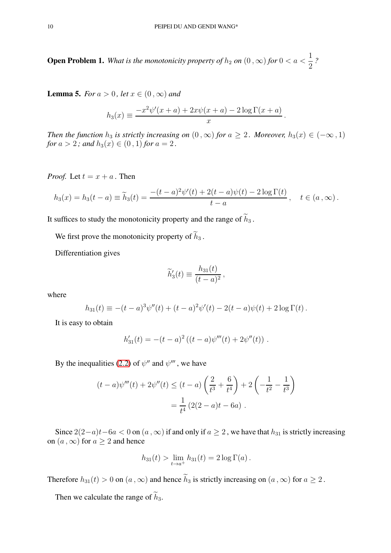**Open Problem 1.** What is the monotonicity property of  $h_2$  on  $(0\,, \infty)$  for  $0 < a < \frac{1}{2}$ 2 *?*

<span id="page-9-0"></span>**Lemma 5.** *For*  $a > 0$ *, let*  $x \in (0, \infty)$  *and* 

$$
h_3(x) \equiv \frac{-x^2 \psi'(x+a) + 2x\psi(x+a) - 2\log\Gamma(x+a)}{x}
$$

.

*Then the function*  $h_3$  *is strictly increasing on*  $(0, \infty)$  *for*  $a \geq 2$ *. Moreover,*  $h_3(x) \in (-\infty, 1)$ *for*  $a > 2$ *;* and  $h_3(x) \in (0, 1)$  *for*  $a = 2$ *.* 

*Proof.* Let  $t = x + a$ . Then

$$
h_3(x) = h_3(t-a) \equiv \widetilde{h}_3(t) = \frac{-(t-a)^2 \psi'(t) + 2(t-a)\psi(t) - 2\log \Gamma(t)}{t-a}, \quad t \in (a,\infty).
$$

It suffices to study the monotonicity property and the range of  $\widetilde{h}_3$ .

We first prove the monotonicity property of  $\hat{h}_3$ .

Differentiation gives

$$
\widetilde{h}'_3(t) \equiv \frac{h_{31}(t)}{(t-a)^2},
$$

where

$$
h_{31}(t) \equiv -(t-a)^3 \psi''(t) + (t-a)^2 \psi'(t) - 2(t-a)\psi(t) + 2\log \Gamma(t).
$$

It is easy to obtain

$$
h'_{31}(t) = -(t-a)^2 ((t-a)\psi'''(t) + 2\psi''(t)).
$$

By the inequalities [\(2.2\)](#page-5-1) of  $\psi''$  and  $\psi'''$ , we have

$$
(t-a)\psi'''(t) + 2\psi''(t) \le (t-a)\left(\frac{2}{t^3} + \frac{6}{t^4}\right) + 2\left(-\frac{1}{t^2} - \frac{1}{t^3}\right)
$$

$$
= \frac{1}{t^4} \left(2(2-a)t - 6a\right).
$$

Since  $2(2-a)t-6a < 0$  on  $(a, \infty)$  if and only if  $a \ge 2$ , we have that  $h_{31}$  is strictly increasing on  $(a, \infty)$  for  $a \ge 2$  and hence

$$
h_{31}(t) > \lim_{t \to a^+} h_{31}(t) = 2 \log \Gamma(a) .
$$

Therefore  $h_{31}(t) > 0$  on  $(a, \infty)$  and hence  $\widetilde{h}_3$  is strictly increasing on  $(a, \infty)$  for  $a \ge 2$ .

Then we calculate the range of  $\widetilde{h}_3$ .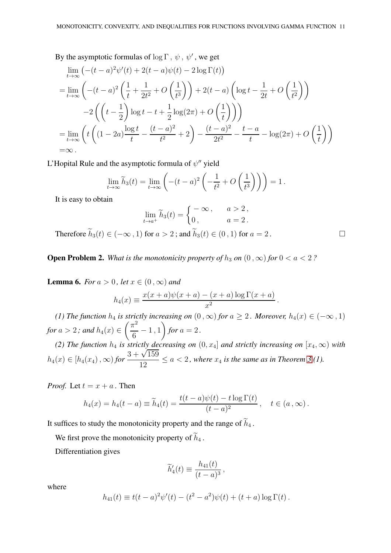By the asymptotic formulas of  $\log \Gamma$ ,  $\psi$ ,  $\psi'$ , we get

$$
\lim_{t \to \infty} \left( -(t-a)^2 \psi'(t) + 2(t-a)\psi(t) - 2\log \Gamma(t) \right)
$$
\n
$$
= \lim_{t \to \infty} \left( -(t-a)^2 \left( \frac{1}{t} + \frac{1}{2t^2} + O\left( \frac{1}{t^3} \right) \right) + 2(t-a) \left( \log t - \frac{1}{2t} + O\left( \frac{1}{t^2} \right) \right) \right)
$$
\n
$$
-2 \left( \left( t - \frac{1}{2} \right) \log t - t + \frac{1}{2} \log(2\pi) + O\left( \frac{1}{t} \right) \right)
$$
\n
$$
= \lim_{t \to \infty} \left( t \left( (1-2a) \frac{\log t}{t} - \frac{(t-a)^2}{t^2} + 2 \right) - \frac{(t-a)^2}{2t^2} - \frac{t-a}{t} - \log(2\pi) + O\left( \frac{1}{t} \right) \right)
$$
\n
$$
= \infty.
$$

L'Hopital Rule and the asymptotic formula of  $\psi''$  yield

$$
\lim_{t \to \infty} \widetilde{h}_3(t) = \lim_{t \to \infty} \left( -(t-a)^2 \left( -\frac{1}{t^2} + O\left(\frac{1}{t^3}\right) \right) \right) = 1.
$$

It is easy to obtain

$$
\lim_{t \to a^+} \widetilde{h}_3(t) = \begin{cases} -\infty, & a > 2, \\ 0, & a = 2. \end{cases}
$$

Therefore  $\widetilde{h}_3(t) \in (-\infty, 1)$  for  $a > 2$ ; and  $\widetilde{h}_3(t) \in (0, 1)$  for  $a = 2$ .

**Open Problem 2.** *What is the monotonicity property of*  $h_3$  *on*  $(0, \infty)$  *for*  $0 < a < 2$  *?* 

<span id="page-10-0"></span>**Lemma 6.** *For*  $a > 0$ *, let*  $x \in (0, \infty)$  *and* 

$$
h_4(x) \equiv \frac{x(x+a)\psi(x+a) - (x+a)\log\Gamma(x+a)}{x^2}.
$$

*(1) The function*  $h_4$  *is strictly increasing on*  $(0, \infty)$  *for*  $a \geq 2$ *. Moreover,*  $h_4(x) \in (-\infty, 1)$ *for*  $a > 2$  *;* and  $h_4(x) \in$  $\sqrt{\pi^2}$  $\frac{1}{6} - 1$ , 1  $\overline{ }$ *for*  $a = 2$ .

*(2) The function*  $h_4$  *is strictly decreasing on*  $(0, x_4]$  *and strictly increasing on*  $[x_4, \infty)$  *with*  $h_4(x) \in [h_4(x_4), \infty)$  *for*  $\frac{3 + \sqrt{159}}{12}$  $\frac{12}{12} \le a < 2$ , where  $x_4$  is the same as in Theorem [3](#page-4-0) (1).

*Proof.* Let  $t = x + a$ . Then

$$
h_4(x) = h_4(t-a) \equiv \widetilde{h}_4(t) = \frac{t(t-a)\psi(t) - t\log\Gamma(t)}{(t-a)^2}, \quad t \in (a,\infty).
$$

It suffices to study the monotonicity property and the range of  $\widetilde{h}_4$ .

We first prove the monotonicity property of  $\widetilde{h}_4$ .

Differentiation gives

$$
\widetilde{h}'_4(t) \equiv \frac{h_{41}(t)}{(t-a)^3},
$$

where

$$
h_{41}(t) \equiv t(t-a)^{2}\psi'(t) - (t^{2} - a^{2})\psi(t) + (t+a)\log \Gamma(t).
$$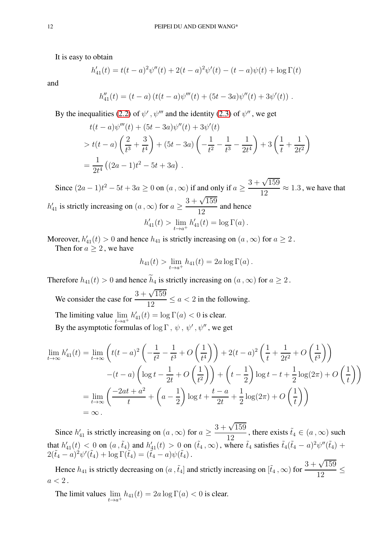It is easy to obtain

$$
h'_{41}(t) = t(t-a)^{2} \psi''(t) + 2(t-a)^{2} \psi'(t) - (t-a)\psi(t) + \log \Gamma(t)
$$

and

$$
h''_{41}(t) = (t-a) (t(t-a)\psi'''(t) + (5t-3a)\psi''(t) + 3\psi'(t)).
$$

By the inequalities [\(2.2\)](#page-5-1) of  $\psi'$ ,  $\psi'''$  and the identity [\(2.3\)](#page-5-2) of  $\psi''$ , we get

$$
t(t-a)\psi'''(t) + (5t-3a)\psi''(t) + 3\psi'(t)
$$
  
>  $t(t-a)\left(\frac{2}{t^3} + \frac{3}{t^4}\right) + (5t-3a)\left(-\frac{1}{t^2} - \frac{1}{t^3} - \frac{1}{2t^4}\right) + 3\left(\frac{1}{t} + \frac{1}{2t^2}\right)$   
=  $\frac{1}{2t^4}\left((2a-1)t^2 - 5t + 3a\right)$ .

Since  $(2a-1)t^2 - 5t + 3a \ge 0$  on  $(a, \infty)$  if and only if  $a \ge 0$  $3 + \sqrt{159}$  $\frac{12}{12} \approx 1.3$ , we have that  $h'_{41}$  is strictly increasing on  $(a,\infty)$  for  $a \geq$  $3 + \sqrt{159}$ 12 and hence  $h'_{41}(t) > \lim_{t \to a^+} h'_{41}(t) = \log \Gamma(a)$ .

Moreover,  $h'_{41}(t) > 0$  and hence  $h_{41}$  is strictly increasing on  $(a, \infty)$  for  $a \ge 2$ . Then for  $a > 2$ , we have

$$
h_{41}(t) > \lim_{t \to a^{+}} h_{41}(t) = 2a \log \Gamma(a).
$$

Therefore  $h_{41}(t) > 0$  and hence  $\widetilde{h}_4$  is strictly increasing on  $(a, \infty)$  for  $a \ge 2$ .

We consider the case for  $\frac{3+\sqrt{159}}{12}$  $\frac{\sqrt{156}}{12} \le a < 2$  in the following.

The limiting value  $\lim_{t \to a^+} h'_{41}(t) = \log \Gamma(a) < 0$  is clear.

By the asymptotic formulas of  $\log \Gamma$ ,  $\psi$ ,  $\psi'$ ,  $\psi''$ , we get

$$
\lim_{t \to \infty} h'_{41}(t) = \lim_{t \to \infty} \left( t(t-a)^2 \left( -\frac{1}{t^2} - \frac{1}{t^3} + O\left(\frac{1}{t^4}\right) \right) + 2(t-a)^2 \left( \frac{1}{t} + \frac{1}{2t^2} + O\left(\frac{1}{t^3}\right) \right) - (t-a) \left( \log t - \frac{1}{2t} + O\left(\frac{1}{t^2}\right) \right) + \left( t - \frac{1}{2} \right) \log t - t + \frac{1}{2} \log(2\pi) + O\left(\frac{1}{t}\right) \right)
$$
  
= 
$$
\lim_{t \to \infty} \left( \frac{-2at + a^2}{t} + \left( a - \frac{1}{2} \right) \log t + \frac{t-a}{2t} + \frac{1}{2} \log(2\pi) + O\left(\frac{1}{t}\right) \right)
$$
  
= 
$$
\infty.
$$

Since  $h'_{41}$  is strictly increasing on  $(a, \infty)$  for  $a \geq$  $\frac{3+\sqrt{159}}{12}$ , there exists  $\tilde{t}_4 \in (a,\infty)$  such 12 that  $h'_{41}(t) < 0$  on  $(a, \tilde{t}_4)$  and  $h'_{41}(t) > 0$  on  $(\tilde{t}_4, \infty)$ , where  $\tilde{t}_4$  satisfies  $\tilde{t}_4(\tilde{t}_4 - a)^2 \psi''(\tilde{t}_4) +$  $2(\tilde{t}_4 - a)^2 \psi'(\tilde{t}_4) + \log \Gamma(\tilde{t}_4) = (\tilde{t}_4 - a) \psi(\tilde{t}_4).$ 

Hence  $h_{41}$  is strictly decreasing on  $(a, \tilde{t}_4)$  and strictly increasing on  $[\tilde{t}_4, \infty)$  for  $\frac{3 + \sqrt{159}}{12}$  $\frac{12}{12}$  $a < 2$ .

The limit values  $\lim_{t \to a^+} h_{41}(t) = 2a \log \Gamma(a) < 0$  is clear.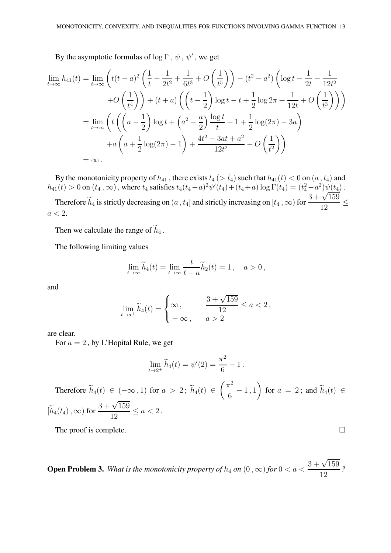By the asymptotic formulas of  $\log \Gamma$ ,  $\psi$ ,  $\psi'$ , we get

$$
\lim_{t \to \infty} h_{41}(t) = \lim_{t \to \infty} \left( t(t-a)^2 \left( \frac{1}{t} + \frac{1}{2t^2} + \frac{1}{6t^3} + O\left(\frac{1}{t^5}\right) \right) - (t^2 - a^2) \left( \log t - \frac{1}{2t} - \frac{1}{12t^2} + O\left(\frac{1}{t^4}\right) \right) + (t+a) \left( \left( t - \frac{1}{2} \right) \log t - t + \frac{1}{2} \log 2\pi + \frac{1}{12t} + O\left(\frac{1}{t^3}\right) \right) \right)
$$
\n
$$
= \lim_{t \to \infty} \left( t \left( \left( a - \frac{1}{2} \right) \log t + \left( a^2 - \frac{a}{2} \right) \frac{\log t}{t} + 1 + \frac{1}{2} \log(2\pi) - 3a \right) + a \left( a + \frac{1}{2} \log(2\pi) - 1 \right) + \frac{4t^2 - 3at + a^2}{12t^2} + O\left(\frac{1}{t^2}\right) \right)
$$
\n
$$
= \infty \, .
$$

By the monotonicity property of  $h_{41}$ , there exists  $t_4$  ( $> \tilde{t}_4$ ) such that  $h_{41}(t) < 0$  on  $(a, t_4)$  and  $h_{41}(t) > 0$  on  $(t_4, \infty)$ , where  $t_4$  satisfies  $t_4(t_4 - a)^2 \psi'(t_4) + (t_4 + a) \log \Gamma(t_4) = (t_4^2 - a^2) \psi(t_4)$ . Therefore  $\widetilde{h}_4$  is strictly decreasing on  $(a, t_4]$  and strictly increasing on  $[t_4, \infty)$  for  $\frac{3 + \sqrt{159}}{12}$  $\frac{12}{12}$  $a < 2$ .

Then we calculate the range of  $\widetilde{h}_4$ .

The following limiting values

$$
\lim_{t \to \infty} \widetilde{h}_4(t) = \lim_{t \to \infty} \frac{t}{t - a} \widetilde{h}_2(t) = 1, \quad a > 0,
$$

and

$$
\lim_{t \to a^{+}} \widetilde{h}_{4}(t) = \begin{cases} \infty, & \frac{3 + \sqrt{159}}{12} \le a < 2, \\ -\infty, & a > 2 \end{cases}
$$

are clear.

For  $a = 2$ , by L'Hopital Rule, we get

$$
\lim_{t \to 2^+} \widetilde{h}_4(t) = \psi'(2) = \frac{\pi^2}{6} - 1.
$$

Therefore  $h_4(t) \in (-\infty, 1)$  for  $a > 2$ ;  $h_4(t) \in$  $\sqrt{\pi^2}$  $\frac{1}{6} - 1$ , 1  $\setminus$ for  $a = 2$ ; and  $h_4(t) \in$  $[\widetilde{h}_4(t_4), \infty)$  for  $\frac{3 + \sqrt{159}}{12}$  $\frac{1}{12} \le a < 2$ .

The proof is complete.  $\Box$ 

**Open Problem 3.** What is the monotonicity property of  $h_4$  on  $(0\,, \infty)$  for  $0 < a <$  $3 + \sqrt{159}$ 12 *?*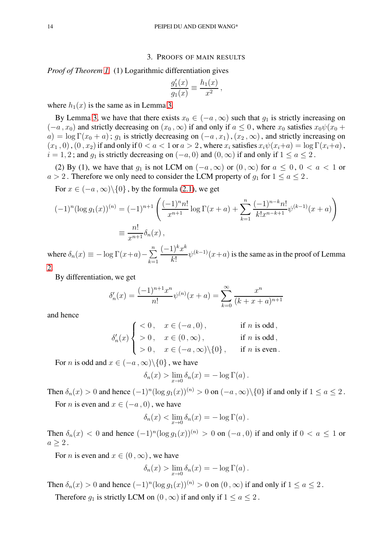### 3. PROOFS OF MAIN RESULTS

*Proof of Theorem [1.](#page-2-0)* (1) Logarithmic differentiation gives

$$
\frac{g_1'(x)}{g_1(x)} \equiv \frac{h_1(x)}{x^2}
$$

,

where  $h_1(x)$  is the same as in Lemma [3.](#page-6-0)

By Lemma [3,](#page-6-0) we have that there exists  $x_0 \in (-a, \infty)$  such that  $g_1$  is strictly increasing on  $(-a, x_0)$  and strictly decreasing on  $(x_0, \infty)$  if and only if  $a \leq 0$ , where  $x_0$  satisfies  $x_0\psi(x_0 +$  $a) = \log \Gamma(x_0 + a)$ ;  $g_1$  is strictly decreasing on  $(-a, x_1)$ ,  $(x_2, \infty)$ , and strictly increasing on  $(x_1, 0)$ ,  $(0, x_2)$  if and only if  $0 < a < 1$  or  $a > 2$ , where  $x_i$  satisfies  $x_i\psi(x_i+a) = \log \Gamma(x_i+a)$ ,  $i = 1, 2$ ; and  $q_1$  is strictly decreasing on  $(-a, 0)$  and  $(0, \infty)$  if and only if  $1 \le a \le 2$ .

(2) By (1), we have that  $g_1$  is not LCM on  $(-a, \infty)$  or  $(0, \infty)$  for  $a \le 0, 0 < a < 1$  or  $a > 2$ . Therefore we only need to consider the LCM property of  $g_1$  for  $1 \le a \le 2$ .

For  $x \in (-a, \infty) \setminus \{0\}$ , by the formula [\(2.1\)](#page-4-2), we get

$$
(-1)^n (\log g_1(x))^{(n)} = (-1)^{n+1} \left( \frac{(-1)^n n!}{x^{n+1}} \log \Gamma(x+a) + \sum_{k=1}^n \frac{(-1)^{n-k} n!}{k! x^{n-k+1}} \psi^{(k-1)}(x+a) \right)
$$
  

$$
\equiv \frac{n!}{x^{n+1}} \delta_n(x),
$$

where  $\delta_n(x) \equiv -\log \Gamma(x+a) - \sum_{n=1}^n$  $_{k=1}$  $(-1)^k x^k$  $k!$  $\psi^{(k-1)}(x+a)$  is the same as in the proof of Lemma [2.](#page-5-3)

By differentiation, we get

$$
\delta_n'(x) = \frac{(-1)^{n+1}x^n}{n!} \psi^{(n)}(x+a) = \sum_{k=0}^{\infty} \frac{x^n}{(k+x+a)^{n+1}}
$$

and hence

$$
\delta_n'(x)\begin{cases}\n<0\,,&x\in(-a\,,0)\,,\quad\qquad\text{if $n$ is odd}\,,\\
>0\,,&x\in(0\,,\infty)\,,\quad\qquad\text{if $n$ is odd}\,,\\
>0\,,&x\in(-a\,,\infty)\backslash\{0\}\,,\quad\text{if $n$ is even}\,.\n\end{cases}
$$

For *n* is odd and  $x \in (-a, \infty) \setminus \{0\}$ , we have

$$
\delta_n(x) > \lim_{x \to 0} \delta_n(x) = -\log \Gamma(a).
$$

Then  $\delta_n(x) > 0$  and hence  $(-1)^n (\log g_1(x))^{(n)} > 0$  on  $(-a, \infty) \setminus \{0\}$  if and only if  $1 \le a \le 2$ . For *n* is even and  $x \in (-a, 0)$ , we have

$$
\delta_n(x) < \lim_{x \to 0} \delta_n(x) = -\log \Gamma(a) \, .
$$

Then  $\delta_n(x) < 0$  and hence  $(-1)^n (\log g_1(x))^{(n)} > 0$  on  $(-a, 0)$  if and only if  $0 < a \le 1$  or  $a > 2$ .

For *n* is even and  $x \in (0, \infty)$ , we have

$$
\delta_n(x) > \lim_{x \to 0} \delta_n(x) = -\log \Gamma(a) .
$$

Then  $\delta_n(x) > 0$  and hence  $(-1)^n (\log g_1(x))^{(n)} > 0$  on  $(0, \infty)$  if and only if  $1 \le a \le 2$ .

Therefore  $g_1$  is strictly LCM on  $(0, \infty)$  if and only if  $1 \le a \le 2$ .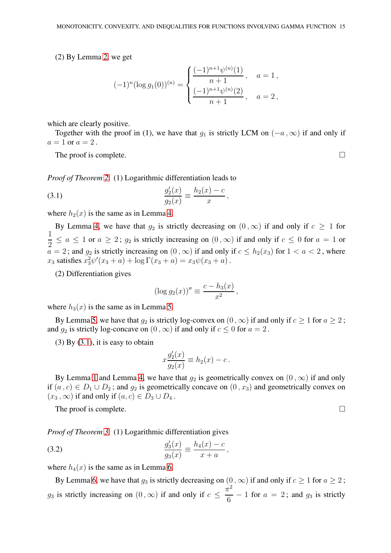(2) By Lemma [2,](#page-5-3) we get

$$
(-1)^{n} (\log g_1(0))^{(n)} = \begin{cases} \frac{(-1)^{n+1} \psi^{(n)}(1)}{n+1}, & a = 1, \\ \frac{(-1)^{n+1} \psi^{(n)}(2)}{n+1}, & a = 2, \end{cases}
$$

which are clearly positive.

Together with the proof in (1), we have that  $q_1$  is strictly LCM on  $(-a, \infty)$  if and only if  $a=1$  or  $a=2$ .

The proof is complete.  $\Box$ 

*Proof of Theorem [2.](#page-3-0)* (1) Logarithmic differentiation leads to

<span id="page-14-0"></span>(3.1) 
$$
\frac{g_2'(x)}{g_2(x)} \equiv \frac{h_2(x) - c}{x},
$$

where  $h_2(x)$  is the same as in Lemma [4.](#page-7-0)

By Lemma [4,](#page-7-0) we have that  $g_2$  is strictly decreasing on  $(0, \infty)$  if and only if  $c \ge 1$  for 1  $\frac{1}{2} \le a \le 1$  or  $a \ge 2$ ;  $g_2$  is strictly increasing on  $(0, \infty)$  if and only if  $c \le 0$  for  $a = 1$  or  $a = 2$ ; and  $g_2$  is strictly increasing on  $(0, \infty)$  if and only if  $c \leq h_2(x_3)$  for  $1 < a < 2$ , where  $x_3$  satisfies  $x_3^2 \psi'(x_3 + a) + \log \Gamma(x_3 + a) = x_3 \psi(x_3 + a)$ .

(2) Differentiation gives

$$
(\log g_2(x))'' \equiv \frac{c - h_3(x)}{x^2},
$$

where  $h_3(x)$  is the same as in Lemma [5.](#page-9-0)

By Lemma [5,](#page-9-0) we have that  $q_2$  is strictly log-convex on  $(0, \infty)$  if and only if  $c > 1$  for  $a > 2$ ; and  $q_2$  is strictly log-concave on  $(0, \infty)$  if and only if  $c \leq 0$  for  $a = 2$ .

 $(3)$  By  $(3.1)$ , it is easy to obtain

$$
x\frac{g_2'(x)}{g_2(x)} \equiv h_2(x) - c.
$$

By Lemma [1](#page-5-4) and Lemma [4,](#page-7-0) we have that  $q_2$  is geometrically convex on  $(0, \infty)$  if and only if  $(a, c) \in D_1 \cup D_2$ ; and  $g_2$  is geometrically concave on  $(0, x_3)$  and geometrically convex on  $(x_3,\infty)$  if and only if  $(a, c) \in D_3 \cup D_4$ .

The proof is complete.  $\Box$ 

*Proof of Theorem [3.](#page-4-0)* (1) Logarithmic differentiation gives

<span id="page-14-1"></span>(3.2) 
$$
\frac{g_3'(x)}{g_3(x)} \equiv \frac{h_4(x) - c}{x + a},
$$

where  $h_4(x)$  is the same as in Lemma [6.](#page-10-0)

By Lemma [6,](#page-10-0) we have that  $g_3$  is strictly decreasing on  $(0, \infty)$  if and only if  $c \ge 1$  for  $a \ge 2$ ;  $g_3$  is strictly increasing on  $(0, \infty)$  if and only if  $c \leq$  $\pi^2$  $\frac{1}{6}$  – 1 for  $a = 2$ ; and  $g_3$  is strictly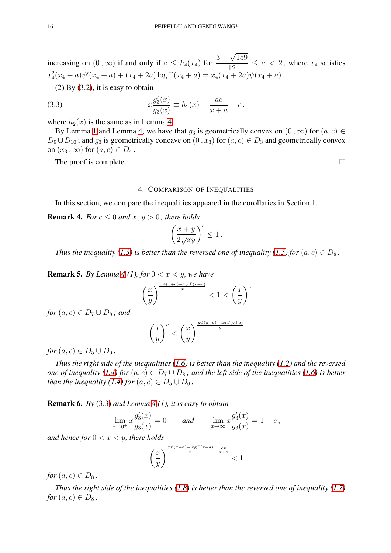increasing on  $(0, \infty)$  if and only if  $c \leq h_4(x_4)$  for  $\frac{3+\sqrt{159}}{12}$  $\frac{1}{12} \le a < 2$ , where  $x_4$  satisfies  $x_4^2(x_4+a)\psi'(x_4+a)+(x_4+2a)\log\Gamma(x_4+a)=x_4(x_4+2a)\psi(x_4+a).$ 

 $(2)$  By  $(3.2)$ , it is easy to obtain

<span id="page-15-0"></span>(3.3) 
$$
x \frac{g_3'(x)}{g_3(x)} \equiv h_2(x) + \frac{ac}{x+a} - c,
$$

where  $h_2(x)$  is the same as in Lemma [4.](#page-7-0)

By Lemma [1](#page-5-4) and Lemma [4,](#page-7-0) we have that  $g_3$  is geometrically convex on  $(0, \infty)$  for  $(a, c) \in$  $D_9 \cup D_{10}$ ; and  $g_3$  is geometrically concave on  $(0, x_3)$  for  $(a, c) \in D_3$  and geometrically convex on  $(x_3, \infty)$  for  $(a, c) \in D_4$ .

The proof is complete.  $\Box$ 

#### 4. COMPARISON OF INEQUALITIES

In this section, we compare the inequalities appeared in the corollaries in Section 1.

**Remark 4.** *For*  $c \leq 0$  *and*  $x, y > 0$ *, there holds* 

$$
\left(\frac{x+y}{2\sqrt{xy}}\right)^c \le 1\,.
$$

*Thus the inequality [\(1.3\)](#page-3-1) is better than the reversed one of inequality [\(1.5\)](#page-3-3) for*  $(a, c) \in D_8$ *.* 

**Remark 5.** *By Lemma* [4](#page-7-0) (1), for  $0 < x < y$ , we have

$$
\left(\frac{x}{y}\right)^{\frac{x\psi(x+a)-\log\Gamma(x+a)}{x}} < 1 < \left(\frac{x}{y}\right)^c
$$

*for*  $(a, c) \in D_7 \cup D_8$ ; and

$$
\left(\frac{x}{y}\right)^c < \left(\frac{x}{y}\right)^{\frac{y\psi(y+a) - \log\Gamma(y+a)}{y}}
$$

*for*  $(a, c) \in D_5 \cup D_6$ .

*Thus the right side of the inequalities [\(1.6\)](#page-3-4) is better than the inequality [\(1.2\)](#page-2-1) and the reversed one of inequality [\(1.4\)](#page-3-2) for*  $(a, c) \in D_7 \cup D_8$ *; and the left side of the inequalities [\(1.6\)](#page-3-4) is better than the inequality [\(1.4\)](#page-3-2) for*  $(a, c) \in D_5 \cup D_6$ .

Remark 6. *By* [\(3.3\)](#page-15-0) *and Lemma [4](#page-7-0) (1), it is easy to obtain*

$$
\lim_{x \to 0^+} x \frac{g_3'(x)}{g_3(x)} = 0 \quad \text{and} \quad \lim_{x \to \infty} x \frac{g_3'(x)}{g_3(x)} = 1 - c,
$$

*and hence for*  $0 < x < y$ *, there holds* 

$$
\left(\frac{x}{y}\right)^{\frac{x\psi(x+a)-\log\Gamma(x+a)}{x}-\frac{cx}{x+a}}<1
$$

*for*  $(a, c) \in D_8$ .

*Thus the right side of the inequalities [\(1.8\)](#page-4-3) is better than the reversed one of inequality [\(1.7\)](#page-4-1) for*  $(a, c) \in D_8$ .